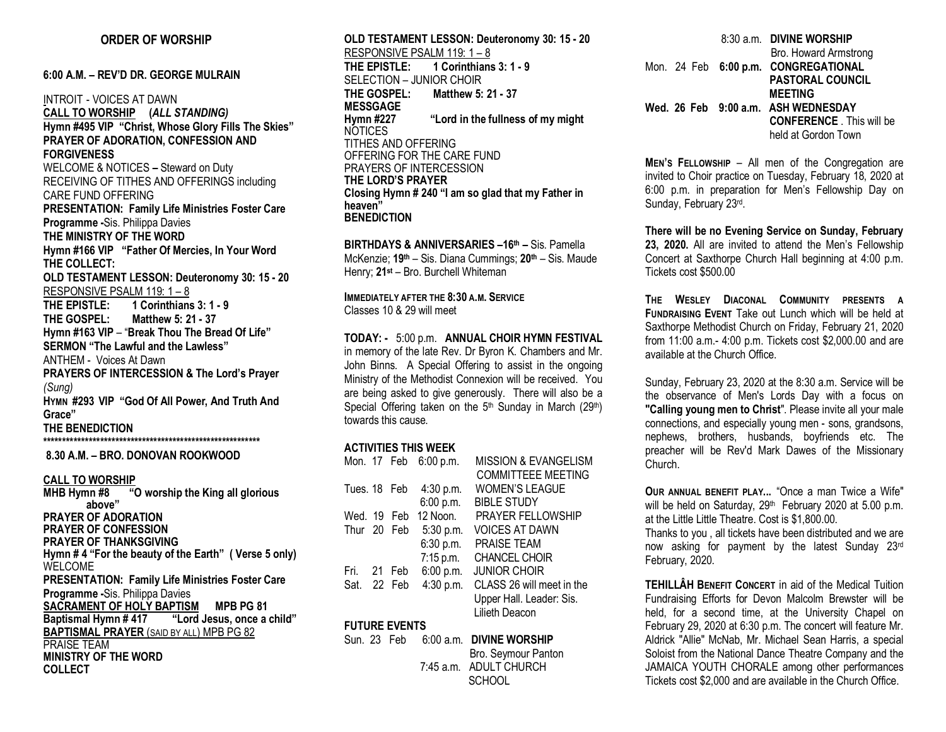## **ORDER OF WORSHIP**

**6:00 A.M. – REV'D DR. GEORGE MULRAIN**

INTROIT - VOICES AT DAWN **CALL TO WORSHIP (***ALL STANDING)* **Hymn #495 VIP "Christ, Whose Glory Fills The Skies" PRAYER OF ADORATION, CONFESSION AND FORGIVENESS** WELCOME & NOTICES **–** Steward on Duty RECEIVING OF TITHES AND OFFERINGS including CARE FUND OFFERING **PRESENTATION: Family Life Ministries Foster Care Programme -**Sis. Philippa Davies **THE MINISTRY OF THE WORD Hymn #166 VIP "Father Of Mercies, In Your Word THE COLLECT: OLD TESTAMENT LESSON: Deuteronomy 30: 15 - 20** RESPONSIVE PSALM 119: 1 - 8<br>THE EPISTLE: 1 Corinthians **THE EPISTLE: 1 Corinthians 3: 1 - 9 THE GOSPEL: Matthew 5: 21 - 37 Hymn #163 VIP** – "**Break Thou The Bread Of Life" SERMON "The Lawful and the Lawless"** ANTHEM - Voices At Dawn **PRAYERS OF INTERCESSION & The Lord's Prayer**  *(Sung)*  **HYMN #293 VIP "God Of All Power, And Truth And Grace" THE BENEDICTION \*\*\*\*\*\*\*\*\*\*\*\*\*\*\*\*\*\*\*\*\*\*\*\*\*\*\*\*\*\*\*\*\*\*\*\*\*\*\*\*\*\*\*\*\*\*\*\*\*\*\*\*\*\*\*\*\* 8.30 A.M. – BRO. DONOVAN ROOKWOOD CALL TO WORSHIP MHB Hymn #8 "O worship the King all glorious above" PRAYER OF ADORATION PRAYER OF CONFESSION**

**PRAYER OF THANKSGIVING Hymn # 4 "For the beauty of the Earth" ( Verse 5 only)** WELCOME **PRESENTATION: Family Life Ministries Foster Care Programme -**Sis. Philippa Davies **SACRAMENT OF HOLY BAPTISM MPB PG 81**<br>Baptismal Hymn # 417 "Lord Jesus, once a **Baptismal Hymn # 417 "Lord Jesus, once a child" BAPTISMAL PRAYER** (SAID BY ALL) MPB PG 82 PRAISE TEAM **MINISTRY OF THE WORD COLLECT**

**OLD TESTAMENT LESSON: Deuteronomy 30: 15 - 20** RESPONSIVE PSALM 119: 1 – 8 **THE EPISTLE: 1 Corinthians 3: 1 - 9** SELECTION – JUNIOR CHOIR **THE GOSPEL: Matthew 5: 21 - 37 MESSGAGE Hymn #227 "Lord in the fullness of my might** NOTICES TITHES AND OFFERING OFFERING FOR THE CARE FUND PRAYERS OF INTERCESSION **THE LORD'S PRAYER Closing Hymn # 240 "I am so glad that my Father in heaven" BENEDICTION**

**BIRTHDAYS & ANNIVERSARIES –16th –** Sis. Pamella McKenzie; **19th** – Sis. Diana Cummings; **20th** – Sis. Maude Henry; **21st** – Bro. Burchell Whiteman

**IMMEDIATELY AFTER THE 8:30 A.M. SERVICE** Classes 10 & 29 will meet

**TODAY: -** 5:00 p.m. **ANNUAL CHOIR HYMN FESTIVAL**  in memory of the late Rev. Dr Byron K. Chambers and Mr. John Binns. A Special Offering to assist in the ongoing Ministry of the Methodist Connexion will be received. You are being asked to give generously. There will also be a Special Offering taken on the 5<sup>th</sup> Sunday in March (29<sup>th</sup>) towards this cause.

#### **ACTIVITIES THIS WEEK**

|              |             | Mon. 17 Feb 6:00 p.m. | <b>MISSION &amp; EVANGELISM</b> |
|--------------|-------------|-----------------------|---------------------------------|
|              |             |                       | <b>COMMITTEEE MEETING</b>       |
| Tues. 18 Feb |             | 4:30 p.m.             | <b>WOMEN'S LEAGUE</b>           |
|              |             | 6:00 p.m.             | <b>BIBLE STUDY</b>              |
| Wed. 19 Feb  |             | 12 Noon.              | <b>PRAYER FELLOWSHIP</b>        |
|              | Thur 20 Feb | 5:30 p.m.             | VOICES AT DAWN                  |
|              |             | 6:30 p.m.             | <b>PRAISE TEAM</b>              |
|              |             | $7:15$ p.m.           | <b>CHANCEL CHOIR</b>            |
| Fri. 21 Feb  |             | 6:00 p.m.             | <b>JUNIOR CHOIR</b>             |
| Sat. 22 Feb  |             | 4:30 p.m.             | CLASS 26 will meet in the       |
|              |             |                       | Upper Hall. Leader: Sis.        |
|              |             |                       | Lilieth Deacon                  |

# **FUTURE EVENTS**

Sun. 23 Feb 6:00 a.m. **DIVINE WORSHIP** Bro. Seymour Panton 7:45 a.m. ADULT CHURCH **SCHOOL** 

 8:30 a.m. **DIVINE WORSHIP** Bro. Howard Armstrong Mon. 24 Feb **6:00 p.m. CONGREGATIONAL PASTORAL COUNCIL MEETING Wed. 26 Feb 9:00 a.m. ASH WEDNESDAY CONFERENCE** . This will be held at Gordon Town

**MEN'S FELLOWSHIP** – All men of the Congregation are invited to Choir practice on Tuesday, February 18, 2020 at 6:00 p.m. in preparation for Men's Fellowship Day on Sunday, February 23rd.

**There will be no Evening Service on Sunday, February 23, 2020.** All are invited to attend the Men's Fellowship Concert at Saxthorpe Church Hall beginning at 4:00 p.m. Tickets cost \$500.00

**THE WESLEY DIACONAL COMMUNITY PRESENTS A FUNDRAISING EVENT** Take out Lunch which will be held at Saxthorpe Methodist Church on Friday, February 21, 2020 from 11:00 a.m.- 4:00 p.m. Tickets cost \$2,000.00 and are available at the Church Office.

Sunday, February 23, 2020 at the 8:30 a.m. Service will be the observance of Men's Lords Day with a focus on **"Calling young men to Christ**". Please invite all your male connections, and especially young men - sons, grandsons, nephews, brothers, husbands, boyfriends etc. The preacher will be Rev'd Mark Dawes of the Missionary Church.

**OUR ANNUAL BENEFIT PLAY...** "Once a man Twice a Wife" will be held on Saturday, 29<sup>th</sup> February 2020 at 5.00 p.m. at the Little Little Theatre. Cost is \$1,800.00.

Thanks to you , all tickets have been distributed and we are now asking for payment by the latest Sunday 23rd February, 2020.

**TEHILLÂH BENEFIT CONCERT** in aid of the Medical Tuition Fundraising Efforts for Devon Malcolm Brewster will be held, for a second time, at the University Chapel on February 29, 2020 at 6:30 p.m. The concert will feature Mr. Aldrick "Allie" McNab, Mr. Michael Sean Harris, a special Soloist from the National Dance Theatre Company and the JAMAICA YOUTH CHORALE among other performances Tickets cost \$2,000 and are available in the Church Office.